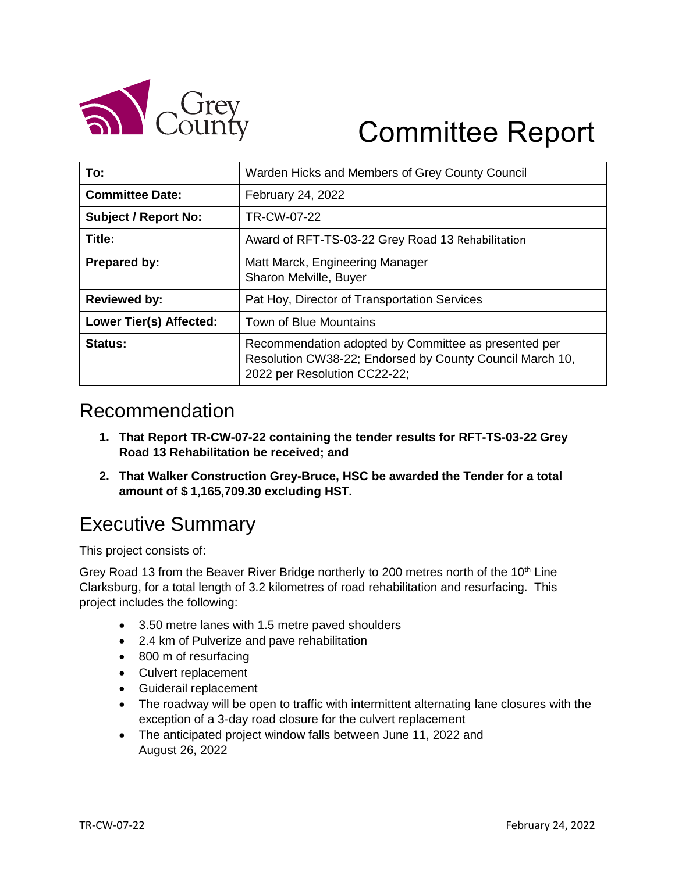

# Committee Report

| To:                         | Warden Hicks and Members of Grey County Council                                                                                                  |  |
|-----------------------------|--------------------------------------------------------------------------------------------------------------------------------------------------|--|
| <b>Committee Date:</b>      | February 24, 2022                                                                                                                                |  |
| <b>Subject / Report No:</b> | TR-CW-07-22                                                                                                                                      |  |
| Title:                      | Award of RFT-TS-03-22 Grey Road 13 Rehabilitation                                                                                                |  |
| <b>Prepared by:</b>         | Matt Marck, Engineering Manager<br>Sharon Melville, Buyer                                                                                        |  |
| <b>Reviewed by:</b>         | Pat Hoy, Director of Transportation Services                                                                                                     |  |
| Lower Tier(s) Affected:     | Town of Blue Mountains                                                                                                                           |  |
| Status:                     | Recommendation adopted by Committee as presented per<br>Resolution CW38-22; Endorsed by County Council March 10,<br>2022 per Resolution CC22-22; |  |

#### Recommendation

- **1. That Report TR-CW-07-22 containing the tender results for RFT-TS-03-22 Grey Road 13 Rehabilitation be received; and**
- **2. That Walker Construction Grey-Bruce, HSC be awarded the Tender for a total amount of \$ 1,165,709.30 excluding HST.**

## Executive Summary

This project consists of:

Grey Road 13 from the Beaver River Bridge northerly to 200 metres north of the  $10<sup>th</sup>$  Line Clarksburg, for a total length of 3.2 kilometres of road rehabilitation and resurfacing. This project includes the following:

- 3.50 metre lanes with 1.5 metre paved shoulders
- 2.4 km of Pulverize and pave rehabilitation
- 800 m of resurfacing
- Culvert replacement
- Guiderail replacement
- The roadway will be open to traffic with intermittent alternating lane closures with the exception of a 3-day road closure for the culvert replacement
- The anticipated project window falls between June 11, 2022 and August 26, 2022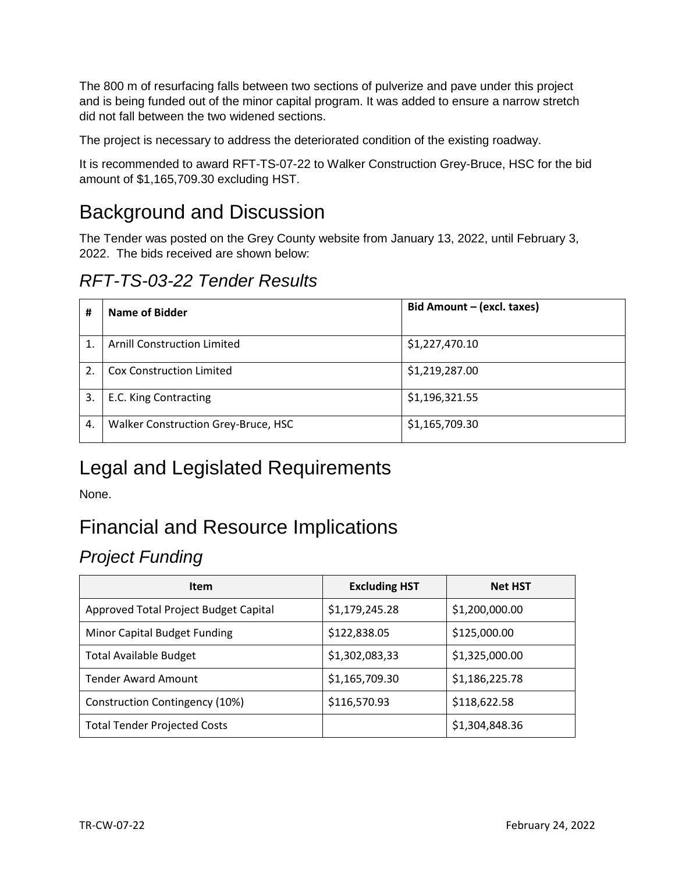The 800 m of resurfacing falls between two sections of pulverize and pave under this project and is being funded out of the minor capital program. It was added to ensure a narrow stretch did not fall between the two widened sections.

The project is necessary to address the deteriorated condition of the existing roadway.

It is recommended to award RFT-TS-07-22 to Walker Construction Grey-Bruce, HSC for the bid amount of \$1,165,709.30 excluding HST.

### Background and Discussion

The Tender was posted on the Grey County website from January 13, 2022, until February 3, 2022. The bids received are shown below:

*RFT-TS-03-22 Tender Results*

| #  | Name of Bidder                      | Bid Amount - (excl. taxes) |
|----|-------------------------------------|----------------------------|
|    | <b>Arnill Construction Limited</b>  | \$1,227,470.10             |
|    | <b>Cox Construction Limited</b>     | \$1,219,287.00             |
| 3. | E.C. King Contracting               | \$1,196,321.55             |
| 4. | Walker Construction Grey-Bruce, HSC | \$1,165,709.30             |

## Legal and Legislated Requirements

None.

## Financial and Resource Implications

#### *Project Funding*

| <b>Item</b>                           | <b>Excluding HST</b> | <b>Net HST</b> |
|---------------------------------------|----------------------|----------------|
| Approved Total Project Budget Capital | \$1,179,245.28       | \$1,200,000.00 |
| Minor Capital Budget Funding          | \$122,838.05         | \$125,000.00   |
| <b>Total Available Budget</b>         | \$1,302,083,33       | \$1,325,000.00 |
| <b>Tender Award Amount</b>            | \$1,165,709.30       | \$1,186,225.78 |
| Construction Contingency (10%)        | \$116,570.93         | \$118,622.58   |
| <b>Total Tender Projected Costs</b>   |                      | \$1,304,848.36 |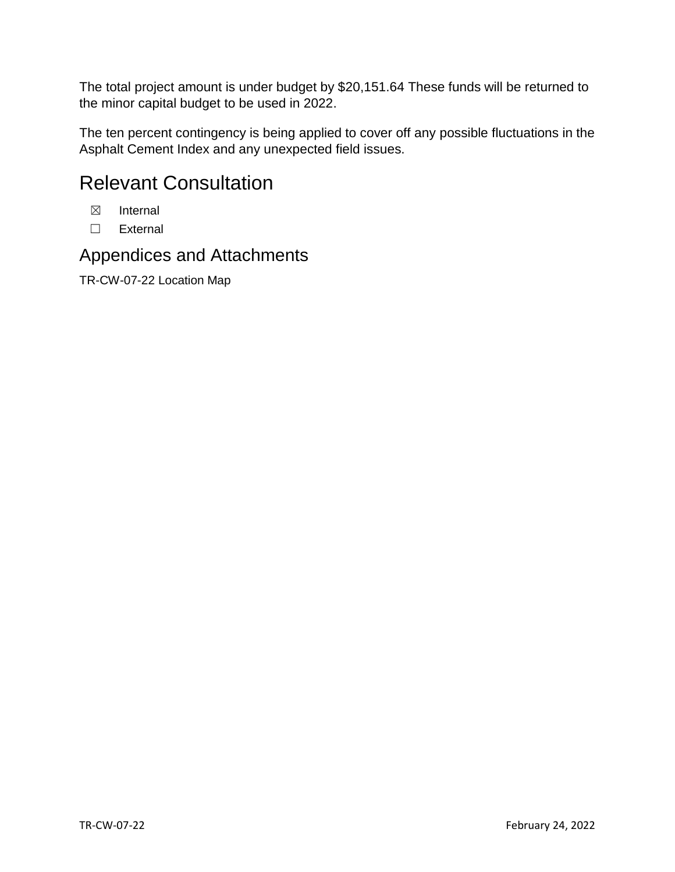The total project amount is under budget by \$20,151.64 These funds will be returned to the minor capital budget to be used in 2022.

The ten percent contingency is being applied to cover off any possible fluctuations in the Asphalt Cement Index and any unexpected field issues.

#### Relevant Consultation

- ☒ Internal
- ☐ External

#### Appendices and Attachments

TR-CW-07-22 Location Map